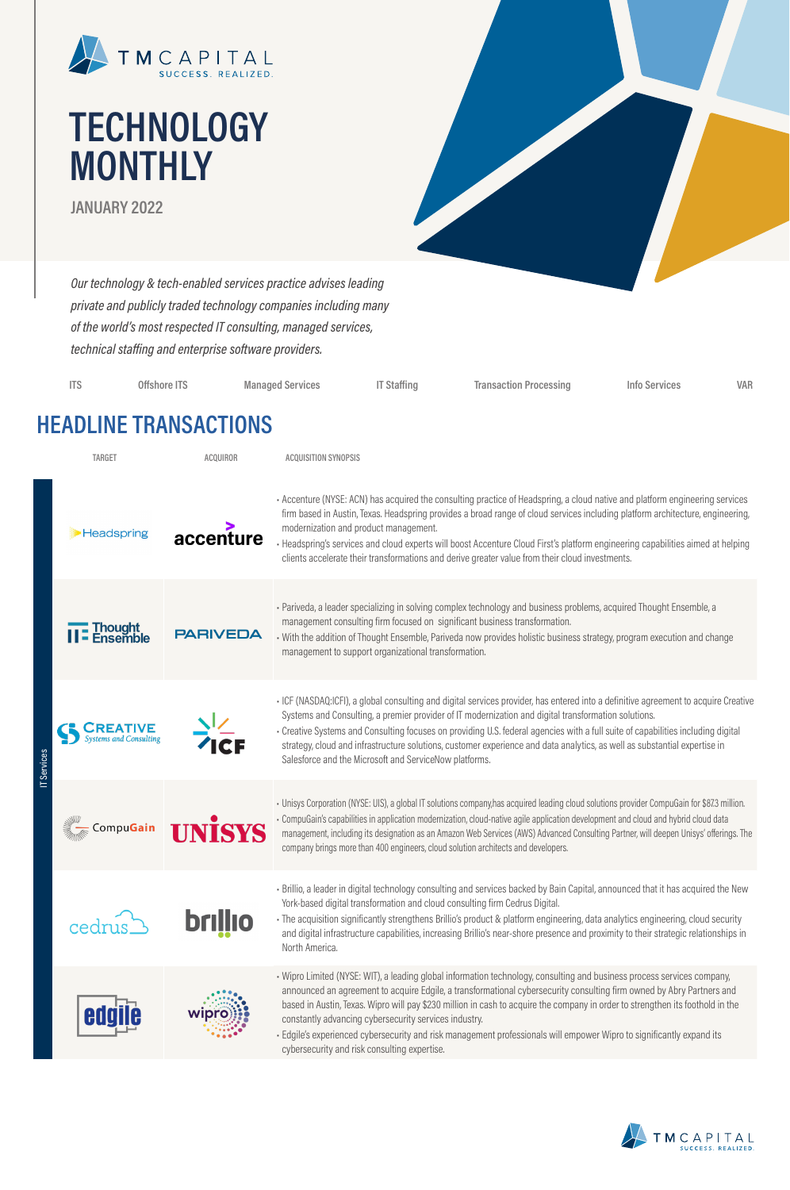

# **TECHNOLOGY MONTHLY**

**JANUARY 2022**

*Our technology & tech-enabled services practice advises leading private and publicly traded technology companies including many of the world's most respected IT consulting, managed services, technical staffing and enterprise software providers.*

| <b>ITS</b> | Offshore ITS | Managed Services | IT Staffing | <b>Transaction Processing</b> | Info Services | VAR |
|------------|--------------|------------------|-------------|-------------------------------|---------------|-----|
|            |              |                  |             |                               |               |     |

### **HEADLINE TRANSACTIONS**

| <b>TARGET</b> |                     | <b>ACQUIROR</b> | <b>ACQUISITION SYNOPSIS</b>                                                                                                                                                                                                                                                                                                                                                                                                                                                                                                                                                                                          |
|---------------|---------------------|-----------------|----------------------------------------------------------------------------------------------------------------------------------------------------------------------------------------------------------------------------------------------------------------------------------------------------------------------------------------------------------------------------------------------------------------------------------------------------------------------------------------------------------------------------------------------------------------------------------------------------------------------|
|               | <b>Headspring</b>   | accenture       | - Accenture (NYSE: ACN) has acquired the consulting practice of Headspring, a cloud native and platform engineering services<br>firm based in Austin, Texas. Headspring provides a broad range of cloud services including platform architecture, engineering,<br>modernization and product management.<br>· Headspring's services and cloud experts will boost Accenture Cloud First's platform engineering capabilities aimed at helping<br>clients accelerate their transformations and derive greater value from their cloud investments.                                                                        |
|               | Thought<br>Ensembl  | <b>PARIVEDA</b> | · Pariveda, a leader specializing in solving complex technology and business problems, acquired Thought Ensemble, a<br>management consulting firm focused on significant business transformation.<br>· With the addition of Thought Ensemble, Pariveda now provides holistic business strategy, program execution and change<br>management to support organizational transformation.                                                                                                                                                                                                                                 |
| Services      | tems and Consulting |                 | · ICF (NASDAQ:ICFI), a global consulting and digital services provider, has entered into a definitive agreement to acquire Creative<br>Systems and Consulting, a premier provider of IT modernization and digital transformation solutions.<br>- Creative Systems and Consulting focuses on providing U.S. federal agencies with a full suite of capabilities including digital<br>strategy, cloud and infrastructure solutions, customer experience and data analytics, as well as substantial expertise in<br>Salesforce and the Microsoft and ServiceNow platforms.                                               |
|               | CompuGain           | <b>İSYS</b>     | - Unisys Corporation (NYSE: UIS), a global IT solutions company, has acquired leading cloud solutions provider CompuGain for \$87.3 million.<br>- CompuGain's capabilities in application modernization, cloud-native agile application development and cloud and hybrid cloud data<br>management, including its designation as an Amazon Web Services (AWS) Advanced Consulting Partner, will deepen Unisys' offerings. The<br>company brings more than 400 engineers, cloud solution architects and developers.                                                                                                    |
|               |                     | brillio         | · Brillio, a leader in digital technology consulting and services backed by Bain Capital, announced that it has acquired the New<br>York-based digital transformation and cloud consulting firm Cedrus Digital.<br>- The acquisition significantly strengthens Brillio's product & platform engineering, data analytics engineering, cloud security<br>and digital infrastructure capabilities, increasing Brillio's near-shore presence and proximity to their strategic relationships in<br>North America.                                                                                                         |
|               |                     |                 | · Wipro Limited (NYSE: WIT), a leading global information technology, consulting and business process services company,<br>announced an agreement to acquire Edgile, a transformational cybersecurity consulting firm owned by Abry Partners and<br>based in Austin, Texas. Wipro will pay \$230 million in cash to acquire the company in order to strengthen its foothold in the<br>constantly advancing cybersecurity services industry.<br>· Edgile's experienced cybersecurity and risk management professionals will empower Wipro to significantly expand its<br>cybersecurity and risk consulting expertise. |

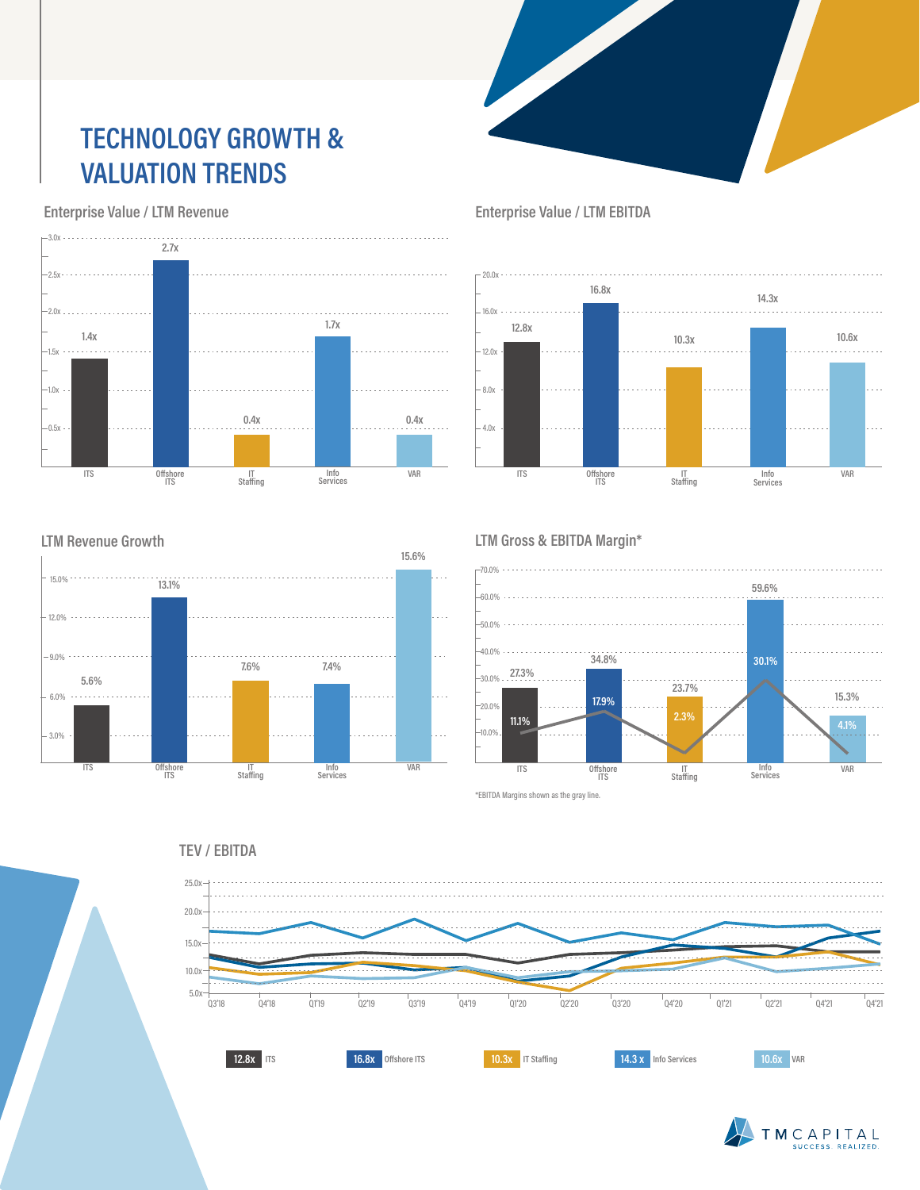### **TECHNOLOGY GROWTH & VALUATION TRENDS**

 **Enterprise Value / LTM Revenue**

**LTM Revenue Growth**

15.0%

6.0%

3.0%

 $-9.0\% + \cdots + \cdots$ 

12.0%

**5.6%**

 $\mathcal{L}(\mathcal{L}(\mathcal{L},\mathcal{L},\mathcal{L},\mathcal{L},\mathcal{L}))$ 



 **Enterprise Value / LTM EBITDA**



#### **LTM Gross & EBITDA Margin\***



**TEV / EBITDA**

**Info Services VAR**

**7.6% 7.4%**

**15.6%**

**ITS Offshore ITS IT Staffing**

**13.1%**